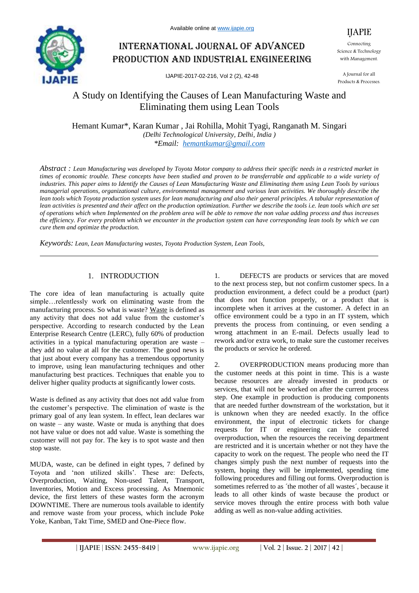

# International journal of advanced production and industrial engineering

IJAPIE-2017-02-216, Vol 2 (2), 42-48

Science & Technology with Management.

A Journal for all Products & Processes.

## A Study on Identifying the Causes of Lean Manufacturing Waste and Eliminating them using Lean Tools

Hemant Kumar\*, Karan Kumar , Jai Rohilla, Mohit Tyagi, Ranganath M. Singari *(Delhi Technological University, Delhi, India ) \*Email: hemantkumar@gmail.com*

*Abstract : Lean Manufacturing was developed by Toyota Motor company to address their specific needs in a restricted market in times of economic trouble. These concepts have been studied and proven to be transferrable and applicable to a wide variety of industries. This paper aims to Identify the Causes of Lean Manufacturing Waste and Eliminating them using Lean Tools by various managerial operations, organizational culture, environmental management and various lean activities. We thoroughly describe the*  lean tools which Toyota production system uses for lean manufacturing and also their general principles. A tabular representation of lean activities is presented and their affect on the production optimization. Further we describe the tools i.e. lean tools which are set *of operations which when Implemented on the problem area will be able to remove the non value adding process and thus increases the efficiency. For every problem which we encounter in the production system can have corresponding lean tools by which we can cure them and optimize the production.*

*Keywords: Lean, Lean Manufacturing wastes, Toyota Production System, Lean Tools,*

## 1. INTRODUCTION

The core idea of lean manufacturing is actually quite simple…relentlessly work on eliminating waste from the manufacturing process. So what is waste? Waste is defined as any activity that does not add value from the customer's perspective. According to research conducted by the Lean Enterprise Research Centre (LERC), fully 60% of production activities in a typical manufacturing operation are waste – they add no value at all for the customer. The good news is that just about every company has a tremendous opportunity to improve, using lean manufacturing techniques and other manufacturing best practices. Techniques that enable you to deliver higher quality products at significantly lower costs.

Waste is defined as any activity that does not add value from the customer"s perspective. The elimination of waste is the primary goal of any lean system. In effect, lean declares war on waste – any waste. Waste or muda is anything that does not have value or does not add value. Waste is something the customer will not pay for. The key is to spot waste and then stop waste.

MUDA, waste, can be defined in eight types, 7 defined by Toyota and "non utilized skills". These are: Defects, Overproduction, Waiting, Non-used Talent, Transport, Inventories, Motion and Excess processing. As Mnemonic device, the first letters of these wastes form the acronym DOWNTIME. There are numerous tools available to identify and remove waste from your process, which include Poke Yoke, Kanban, Takt Time, SMED and One-Piece flow.

1. DEFECTS are products or services that are moved to the next process step, but not confirm customer specs. In a production environment, a defect could be a product (part) that does not function properly, or a product that is incomplete when it arrives at the customer. A defect in an office environment could be a typo in an IT system, which prevents the process from continuing, or even sending a wrong attachment in an E-mail. Defects usually lead to rework and/or extra work, to make sure the customer receives the products or service he ordered.

2. OVERPRODUCTION means producing more than the customer needs at this point in time. This is a waste because resources are already invested in products or services, that will not be worked on after the current process step. One example in production is producing components that are needed further downstream of the workstation, but it is unknown when they are needed exactly. In the office environment, the input of electronic tickets for change requests for IT or engineering can be considered overproduction, when the resources the receiving department are restricted and it is uncertain whether or not they have the capacity to work on the request. The people who need the IT changes simply push the next number of requests into the system, hoping they will be implemented, spending time following procedures and filling out forms. Overproduction is sometimes referred to as 'the mother of all wastes', because it leads to all other kinds of waste because the product or service moves through the entire process with both value adding as well as non-value adding activities.

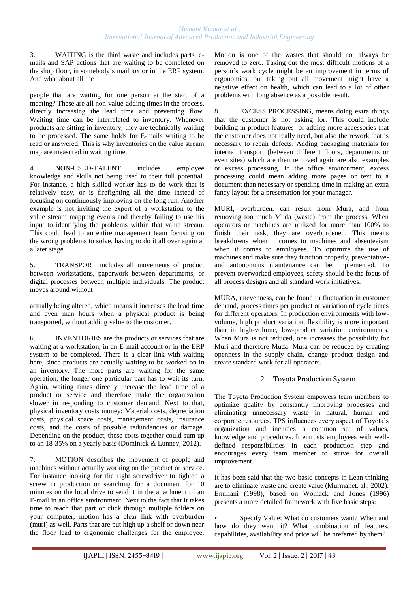3. WAITING is the third waste and includes parts, emails and SAP actions that are waiting to be completed on the shop floor, in somebody´s mailbox or in the ERP system. And what about all the

people that are waiting for one person at the start of a meeting? These are all non-value-adding times in the process, directly increasing the lead time and preventing flow. Waiting time can be interrelated to inventory. Whenever products are sitting in inventory, they are technically waiting to be processed. The same holds for E-mails waiting to be read or answered. This is why inventories on the value stream map are measured in waiting time.

4. NON-USED-TALENT includes employee knowledge and skills not being used to their full potential. For instance, a high skilled worker has to do work that is relatively easy, or is firefighting all the time instead of focusing on continuously improving on the long run. Another example is not inviting the expert of a workstation to the value stream mapping events and thereby failing to use his input to identifying the problems within that value stream. This could lead to an entire management team focusing on the wrong problems to solve, having to do it all over again at a later stage.

5. TRANSPORT includes all movements of product between workstations, paperwork between departments, or digital processes between multiple individuals. The product moves around without

actually being altered, which means it increases the lead time and even man hours when a physical product is being transported, without adding value to the customer.

6. INVENTORIES are the products or services that are waiting at a workstation, in an E-mail account or in the ERP system to be completed. There is a clear link with waiting here, since products are actually waiting to be worked on in an inventory. The more parts are waiting for the same operation, the longer one particular part has to wait its turn. Again, waiting times directly increase the lead time of a product or service and therefore make the organization slower in responding to customer demand. Next to that, physical inventory costs money: Material costs, depreciation costs, physical space costs, management costs, insurance costs, and the costs of possible redundancies or damage. Depending on the product, these costs together could sum up to an 18-35% on a yearly basis (Dominick & Lunney, 2012).

7. MOTION describes the movement of people and machines without actually working on the product or service. For instance looking for the right screwdriver to tighten a screw in production or searching for a document for 10 minutes on the local drive to send it in the attachment of an E-mail in an office environment. Next to the fact that it takes time to reach that part or click through multiple folders on your computer, motion has a clear link with overburden (muri) as well. Parts that are put high up a shelf or down near the floor lead to ergonomic challenges for the employee.

Motion is one of the wastes that should not always be removed to zero. Taking out the most difficult motions of a person´s work cycle might be an improvement in terms of ergonomics, but taking out all movement might have a negative effect on health, which can lead to a lot of other problems with long absence as a possible result.

8. EXCESS PROCESSING, means doing extra things that the customer is not asking for. This could include building in product features- or adding more accessories that the customer does not really need, but also the rework that is necessary to repair defects. Adding packaging materials for internal transport (between different floors, departments or even sites) which are then removed again are also examples or excess processing. In the office environment, excess processing could mean adding more pages or text to a document than necessary or spending time in making an extra fancy layout for a presentation for your manager.

MURI, overburden, can result from Mura, and from removing too much Muda (waste) from the process. When operators or machines are utilized for more than 100% to finish their task, they are overburdened. This means breakdowns when it comes to machines and absenteeism when it comes to employees. To optimize the use of machines and make sure they function properly, preventativeand autonomous maintenance can be implemented. To prevent overworked employees, safety should be the focus of all process designs and all standard work initiatives.

MURA, unevenness, can be found in fluctuation in customer demand, process times per product or variation of cycle times for different operators. In production environments with lowvolume, high product variation, flexibility is more important than in high-volume, low-product variation environments. When Mura is not reduced, one increases the possibility for Muri and therefore Muda. Mura can be reduced by creating openness in the supply chain, change product design and create standard work for all operators.

## 2. Toyota Production System

The Toyota Production System empowers team members to optimize quality by constantly improving processes and eliminating unnecessary waste in natural, human and corporate resources. TPS influences every aspect of Toyota"s organization and includes a common set of values, knowledge and procedures. It entrusts employees with welldefined responsibilities in each production step and encourages every team member to strive for overall improvement.

It has been said that the two basic concepts in Lean thinking are to eliminate waste and create value (Murmanet. al., 2002). Emiliani (1998), based on Womack and Jones (1996) presents a more detailed framework with five basic steps:

Specify Value: What do customers want? When and how do they want it? What combination of features, capabilities, availability and price will be preferred by them?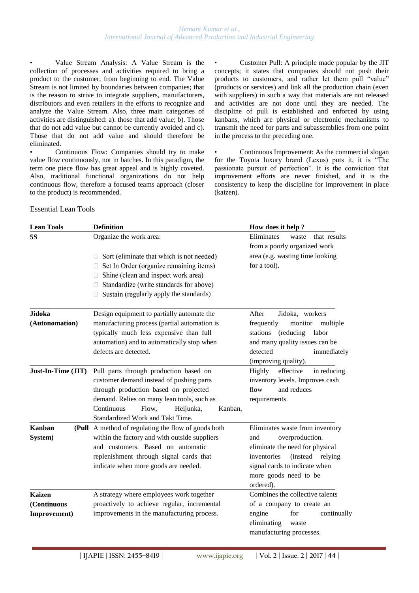• Value Stream Analysis: A Value Stream is the collection of processes and activities required to bring a product to the customer, from beginning to end. The Value Stream is not limited by boundaries between companies; that is the reason to strive to integrate suppliers, manufacturers, distributors and even retailers in the efforts to recognize and analyze the Value Stream. Also, three main categories of activities are distinguished: a). those that add value; b). Those that do not add value but cannot be currently avoided and c). Those that do not add value and should therefore be eliminated.

• Continuous Flow: Companies should try to make value flow continuously, not in batches. In this paradigm, the term one piece flow has great appeal and is highly coveted. Also, traditional functional organizations do not help continuous flow, therefore a focused teams approach (closer to the product) is recommended.

• Customer Pull: A principle made popular by the JIT concepts; it states that companies should not push their products to customers, and rather let them pull "value" (products or services) and link all the production chain (even with suppliers) in such a way that materials are not released and activities are not done until they are needed. The discipline of pull is established and enforced by using kanbans, which are physical or electronic mechanisms to transmit the need for parts and subassemblies from one point in the process to the preceding one.

Continuous Improvement: As the commercial slogan for the Toyota luxury brand (Lexus) puts it, it is "The passionate pursuit of perfection". It is the conviction that improvement efforts are never finished, and it is the consistency to keep the discipline for improvement in place (kaizen).

Essential Lean Tools

| <b>Lean Tools</b>  | <b>Definition</b>                                   | How does it help?                                                   |  |
|--------------------|-----------------------------------------------------|---------------------------------------------------------------------|--|
| 5S                 | Organize the work area:                             | Eliminates<br>waste<br>that results<br>from a poorly organized work |  |
|                    | Sort (eliminate that which is not needed)<br>Ш      | area (e.g. wasting time looking                                     |  |
|                    | Set In Order (organize remaining items)             | for a tool).                                                        |  |
|                    | Shine (clean and inspect work area)                 |                                                                     |  |
|                    | Standardize (write standards for above)             |                                                                     |  |
|                    | Sustain (regularly apply the standards)             |                                                                     |  |
| Jidoka             | Design equipment to partially automate the          | After<br>Jidoka, workers                                            |  |
| (Autonomation)     | manufacturing process (partial automation is        | frequently<br>monitor<br>multiple                                   |  |
|                    | typically much less expensive than full             | (reducing)<br>labor<br>stations                                     |  |
|                    | automation) and to automatically stop when          | and many quality issues can be                                      |  |
|                    | defects are detected.                               | detected<br>immediately                                             |  |
|                    |                                                     | (improving quality).                                                |  |
| Just-In-Time (JIT) | Pull parts through production based on              | effective<br><b>Highly</b><br>in reducing                           |  |
|                    | customer demand instead of pushing parts            | inventory levels. Improves cash                                     |  |
|                    | through production based on projected               | and reduces<br>flow                                                 |  |
|                    | demand. Relies on many lean tools, such as          | requirements.                                                       |  |
|                    | Continuous<br>Flow,<br>Kanban,<br>Heijunka,         |                                                                     |  |
|                    | Standardized Work and Takt Time.                    |                                                                     |  |
| <b>Kanban</b>      | (Pull A method of regulating the flow of goods both | Eliminates waste from inventory                                     |  |
| System)            | within the factory and with outside suppliers       | overproduction.<br>and                                              |  |
|                    | and customers. Based on automatic                   | eliminate the need for physical                                     |  |
|                    | replenishment through signal cards that             | (instead relying<br>inventories                                     |  |
|                    | indicate when more goods are needed.                | signal cards to indicate when                                       |  |
|                    |                                                     | more goods need to be                                               |  |
|                    |                                                     | ordered).                                                           |  |
| <b>Kaizen</b>      | A strategy where employees work together            | Combines the collective talents                                     |  |
| (Continuous        | proactively to achieve regular, incremental         | of a company to create an                                           |  |
| Improvement)       | improvements in the manufacturing process.          | engine<br>for<br>continually                                        |  |
|                    |                                                     | eliminating<br>waste                                                |  |
|                    |                                                     | manufacturing processes.                                            |  |
|                    |                                                     |                                                                     |  |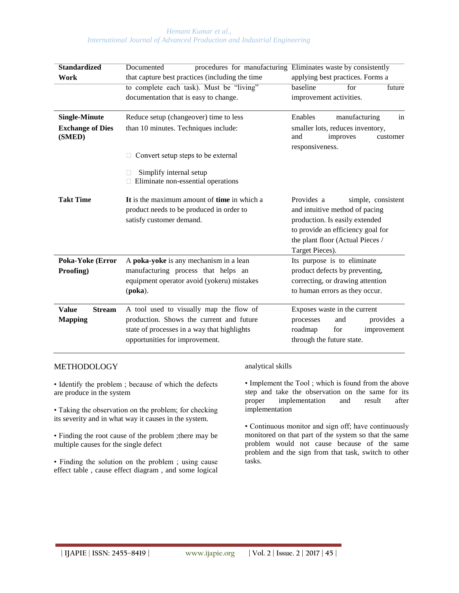#### *Hemant Kumar et al., International Journal of Advanced Production and Industrial Engineering*

| <b>Standardized</b>               | Documented                                                                                                          | procedures for manufacturing Eliminates waste by consistently                                                                                                                                    |  |  |
|-----------------------------------|---------------------------------------------------------------------------------------------------------------------|--------------------------------------------------------------------------------------------------------------------------------------------------------------------------------------------------|--|--|
| Work                              | that capture best practices (including the time                                                                     | applying best practices. Forms a                                                                                                                                                                 |  |  |
|                                   | to complete each task). Must be "living"                                                                            | baseline<br>for<br>future                                                                                                                                                                        |  |  |
|                                   | documentation that is easy to change.                                                                               | improvement activities.                                                                                                                                                                          |  |  |
| <b>Single-Minute</b>              | Reduce setup (changeover) time to less                                                                              | Enables<br>manufacturing<br>in                                                                                                                                                                   |  |  |
| <b>Exchange of Dies</b><br>(SMED) | than 10 minutes. Techniques include:                                                                                | smaller lots, reduces inventory,<br>improves<br>and<br>customer<br>responsiveness.                                                                                                               |  |  |
|                                   | Convert setup steps to be external                                                                                  |                                                                                                                                                                                                  |  |  |
|                                   | Simplify internal setup<br>$\Box$ Eliminate non-essential operations                                                |                                                                                                                                                                                                  |  |  |
| <b>Takt Time</b>                  | It is the maximum amount of time in which a<br>product needs to be produced in order to<br>satisfy customer demand. | Provides a<br>simple, consistent<br>and intuitive method of pacing<br>production. Is easily extended<br>to provide an efficiency goal for<br>the plant floor (Actual Pieces /<br>Target Pieces). |  |  |
| Poka-Yoke (Error                  | A poka-yoke is any mechanism in a lean                                                                              | Its purpose is to eliminate                                                                                                                                                                      |  |  |
| Proofing)                         | manufacturing process that helps an                                                                                 | product defects by preventing,                                                                                                                                                                   |  |  |
|                                   | equipment operator avoid (yokeru) mistakes                                                                          | correcting, or drawing attention                                                                                                                                                                 |  |  |
|                                   | $(poka)$ .                                                                                                          | to human errors as they occur.                                                                                                                                                                   |  |  |
| <b>Value</b><br><b>Stream</b>     | A tool used to visually map the flow of                                                                             | Exposes waste in the current                                                                                                                                                                     |  |  |
| <b>Mapping</b>                    | production. Shows the current and future                                                                            | provides a<br>processes<br>and                                                                                                                                                                   |  |  |
|                                   | state of processes in a way that highlights                                                                         | roadmap<br>for<br>improvement                                                                                                                                                                    |  |  |
|                                   | opportunities for improvement.                                                                                      | through the future state.                                                                                                                                                                        |  |  |

## METHODOLOGY

• Identify the problem ; because of which the defects are produce in the system

• Taking the observation on the problem; for checking its severity and in what way it causes in the system.

• Finding the root cause of the problem ;there may be multiple causes for the single defect

• Finding the solution on the problem ; using cause effect table , cause effect diagram , and some logical

#### analytical skills

• Implement the Tool ; which is found from the above step and take the observation on the same for its proper implementation and result after implementation

• Continuous monitor and sign off; have continuously monitored on that part of the system so that the same problem would not cause because of the same problem and the sign from that task, switch to other tasks.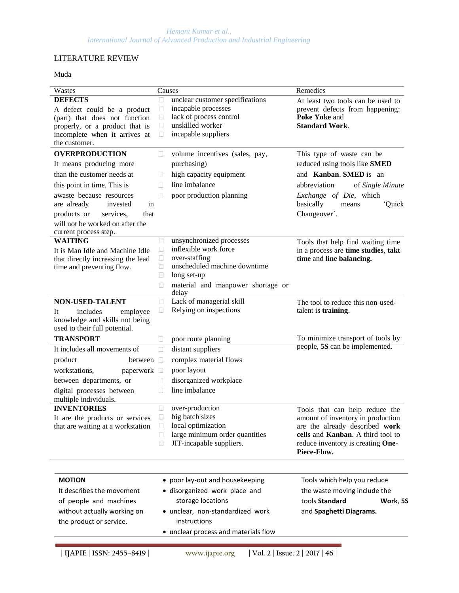## LITERATURE REVIEW

Muda

| Wastes                                                                                                                                                                                                                                                                     | Causes                                  |                                                                                                                                                                                   | Remedies                                                                                                                                                                                           |  |
|----------------------------------------------------------------------------------------------------------------------------------------------------------------------------------------------------------------------------------------------------------------------------|-----------------------------------------|-----------------------------------------------------------------------------------------------------------------------------------------------------------------------------------|----------------------------------------------------------------------------------------------------------------------------------------------------------------------------------------------------|--|
| <b>DEFECTS</b><br>A defect could be a product<br>(part) that does not function<br>properly, or a product that is<br>incomplete when it arrives at<br>the customer.                                                                                                         |                                         | unclear customer specifications<br>O<br>incapable processes<br>$\Box$<br>lack of process control<br>$\Box$<br>unskilled worker<br>O<br>incapable suppliers<br>O                   | At least two tools can be used to<br>prevent defects from happening:<br>Poke Yoke and<br><b>Standard Work.</b>                                                                                     |  |
| <b>OVERPRODUCTION</b><br>It means producing more<br>than the customer needs at<br>this point in time. This is<br>awaste because resources<br>are already<br>invested<br>in<br>products or<br>services,<br>that<br>will not be worked on after the<br>current process step. | O<br>u<br>П                             | volume incentives (sales, pay,<br>purchasing)<br>high capacity equipment<br>line imbalance<br>poor production planning                                                            | This type of waste can be<br>reduced using tools like SMED<br>and Kanban. SMED is an<br>abbreviation<br>of Single Minute<br>Exchange of Die, which<br>basically<br>'Quick<br>means<br>Changeover'. |  |
| <b>WAITING</b><br>It is Man Idle and Machine Idle<br>that directly increasing the lead<br>time and preventing flow.                                                                                                                                                        |                                         | unsynchronized processes<br>inflexible work force<br>over-staffing<br>unscheduled machine downtime<br>long set-up<br>material and manpower shortage or<br>delay                   | Tools that help find waiting time<br>in a process are time studies, takt<br>time and line balancing.                                                                                               |  |
| <b>NON-USED-TALENT</b><br>includes<br>It<br>employee<br>knowledge and skills not being<br>used to their full potential.                                                                                                                                                    |                                         | Lack of managerial skill<br>Relying on inspections                                                                                                                                | The tool to reduce this non-used-<br>talent is training.                                                                                                                                           |  |
| <b>TRANSPORT</b><br>It includes all movements of<br>product<br>between $\square$<br>workstations,<br>paperwork $\Box$<br>between departments, or<br>digital processes between<br>multiple individuals.                                                                     | Ш<br>$\Box$<br>$\Box$<br>$\mathbb{R}^n$ | poor route planning<br>distant suppliers<br>complex material flows<br>poor layout<br>disorganized workplace<br>line imbalance                                                     | To minimize transport of tools by<br>people, 5S can be implemented.                                                                                                                                |  |
| <b>INVENTORIES</b><br>It are the products or services $\Box$ big batch sizes<br>that are waiting at a workstation                                                                                                                                                          |                                         | over-production<br>local optimization<br>large minimum order quantities<br>JIT-incapable suppliers.                                                                               | Tools that can help reduce the<br>amount of inventory in production<br>are the already described work<br>cells and Kanban. A third tool to<br>reduce inventory is creating One-<br>Piece-Flow.     |  |
| <b>MOTION</b><br>It describes the movement<br>of people and machines<br>without actually working on<br>the product or service.                                                                                                                                             |                                         | • poor lay-out and housekeeping<br>· disorganized work place and<br>storage locations<br>· unclear, non-standardized work<br>instructions<br>• unclear process and materials flow | Tools which help you reduce<br>the waste moving include the<br>tools Standard<br>Work, 5S<br>and Spaghetti Diagrams.                                                                               |  |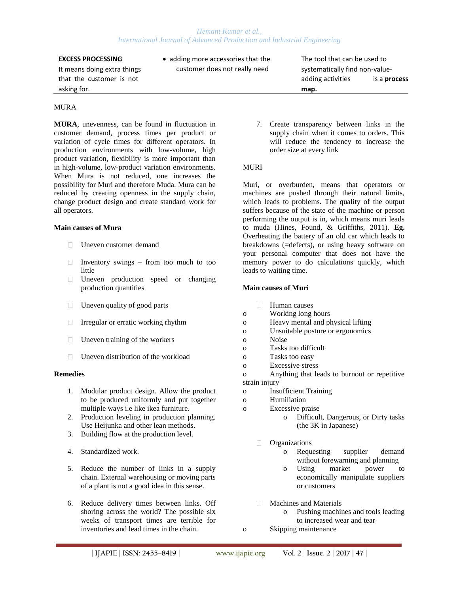#### *Hemant Kumar et al., International Journal of Advanced Production and Industrial Engineering*

asking for. **map. map. map. map. map. map. map. map. map. map. map. map. map. map. map. map. map. map. map. map. map. map. map. map. map. map. map. map. map. map.**

## MURA

**MURA**, unevenness, can be found in fluctuation in customer demand, process times per product or variation of cycle times for different operators. In production environments with low-volume, high product variation, flexibility is more important than in high-volume, low-product variation environments. When Mura is not reduced, one increases the possibility for Muri and therefore Muda. Mura can be reduced by creating openness in the supply chain, change product design and create standard work for all operators.

## **Main causes of Mura**

- Uneven customer demand
- Inventory swings from too much to too  $\Box$ little
- $\Box$ Uneven production speed or changing production quantities
- $\Box$  Uneven quality of good parts
- $\Box$  Irregular or erratic working rhythm
- $\Box$  Uneven training of the workers
- $\Box$  Uneven distribution of the workload

#### **Remedies**

- 1. Modular product design. Allow the product to be produced uniformly and put together multiple ways i.e like ikea furniture.
- 2. Production leveling in production planning. Use Heijunka and other lean methods.
- 3. Building flow at the production level.
- 4. Standardized work.
- 5. Reduce the number of links in a supply chain. External warehousing or moving parts of a plant is not a good idea in this sense.
- 6. Reduce delivery times between links. Off shoring across the world? The possible six weeks of transport times are terrible for inventories and lead times in the chain.

It means doing extra things extra customer does not really need systematically find non-value-

**EXCESS PROCESSING** • adding more accessories that the The tool that can be used to that the customer is not adding activities is a **process** of the customer is not

> 7. Create transparency between links in the supply chain when it comes to orders. This will reduce the tendency to increase the order size at every link

## **MURI**

Muri, or overburden, means that operators or machines are pushed through their natural limits, which leads to problems. The quality of the output suffers because of the state of the machine or person performing the output is in, which means muri leads to muda (Hines, Found, & Griffiths, 2011). **Eg.**  Overheating the battery of an old car which leads to breakdowns (=defects), or using heavy software on your personal computer that does not have the memory power to do calculations quickly, which leads to waiting time.

## **Main causes of Muri**

- $\Box$ Human causes
- o Working long hours
- o Heavy mental and physical lifting
- o Unsuitable posture or ergonomics
- o Noise
- o Tasks too difficult
- o Tasks too easy
- o Excessive stress
- o Anything that leads to burnout or repetitive strain injury
- o Insufficient Training
- o Humiliation
- o Excessive praise o Difficult, Dangerous, or Dirty tasks (the 3K in Japanese)
	- **D** Organizations
		- o Requesting supplier demand without forewarning and planning
		- o Using market power to economically manipulate suppliers or customers
	- Machines and Materials  $\Box$ 
		- o Pushing machines and tools leading to increased wear and tear
- o Skipping maintenance